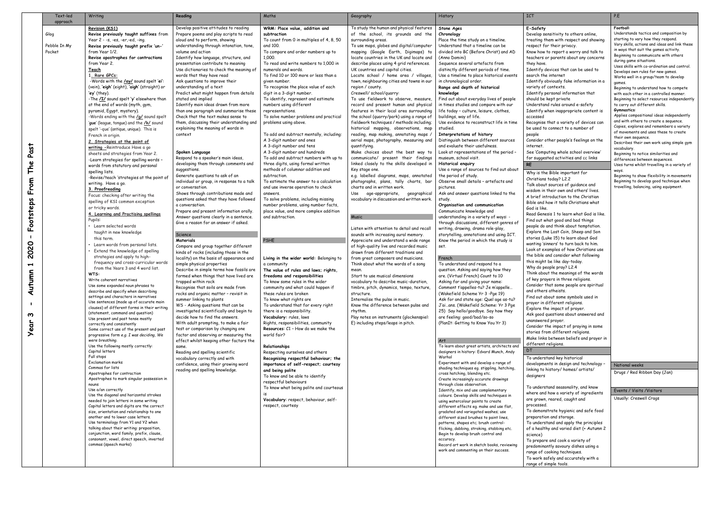|                                                                                                      | Text-led<br>approach           | Writing                                                                                                                                                                                                                                                                                                                                                                                                                                                                                                                                                                                                                                                                                                                                                                                                                                                                                                                                                                                                                                                                                                                                                                                                                                                                                                                                                                                                                                                                                                                                                                                                                                                                                                                                                                                                                                                                                                                                                                                                                                                                                                                                                                                                                                                                                                                                                                                                                                                                                         | Reading                                                                                                                                                                                                                                                                                                                                                                                                                                                                                                                                                                                                                                                                                                                                                                                                                                                                                                                                                                                                                                                                                                                                                                                                                                                                                                                                                                                                                                                                                                                                                                                                                                                                                                                                                                                                                                                                                                                                                                                                        | Maths                                                                                                                                                                                                                                                                                                                                                                                                                                                                                                                                                                                                                                                                                                                                                                                                                                                                                                                                                                                                                                                                                                                                                                                                                                                                                                                                                                                                                                                                                                                                                                                                                                                                                                                                                                                                                                                      | Geography                                                                                                                                                                                                                                                                                                                                                                                                                                                                                                                                                                                                                                                                                                                                                                                                                                                                                                                                                                                                                                                                                                                                                                                                                                                                                                                                                                                                                                                                                                                                                                                                                                                                                                                                                                                                                      | History                                                                                                                                                                                                                                                                                                                                                                                                                                                                                                                                                                                                                                                                                                                                                                                                                                                                                                                                                                                                                                                                                                                                                                                                                                                                                                                                                                                                                                                                                                                                                                                                                                                                                                                                                                                                                                                                                                                                                                                                                                                                                                                                                                                                                                                                                                                                                                                                                                                                                                       | ICT                                                                                                                                                                                                                                                                                                                                                                                                                                                                                                                                                                                                                                                                                                                                                                                                                                                                                                                                                                                                                                                                                                                                                                                                                                                                                                                                                                                                                                                                                                                                                                                                                                                                                                                                                                                                                                                                                                                                                                                                                                                                                                                                                                                                                                                                                                                                                                                                                                                                                                                                        | P.E                                                                                                                                                                                                                           |
|------------------------------------------------------------------------------------------------------|--------------------------------|-------------------------------------------------------------------------------------------------------------------------------------------------------------------------------------------------------------------------------------------------------------------------------------------------------------------------------------------------------------------------------------------------------------------------------------------------------------------------------------------------------------------------------------------------------------------------------------------------------------------------------------------------------------------------------------------------------------------------------------------------------------------------------------------------------------------------------------------------------------------------------------------------------------------------------------------------------------------------------------------------------------------------------------------------------------------------------------------------------------------------------------------------------------------------------------------------------------------------------------------------------------------------------------------------------------------------------------------------------------------------------------------------------------------------------------------------------------------------------------------------------------------------------------------------------------------------------------------------------------------------------------------------------------------------------------------------------------------------------------------------------------------------------------------------------------------------------------------------------------------------------------------------------------------------------------------------------------------------------------------------------------------------------------------------------------------------------------------------------------------------------------------------------------------------------------------------------------------------------------------------------------------------------------------------------------------------------------------------------------------------------------------------------------------------------------------------------------------------------------------------|----------------------------------------------------------------------------------------------------------------------------------------------------------------------------------------------------------------------------------------------------------------------------------------------------------------------------------------------------------------------------------------------------------------------------------------------------------------------------------------------------------------------------------------------------------------------------------------------------------------------------------------------------------------------------------------------------------------------------------------------------------------------------------------------------------------------------------------------------------------------------------------------------------------------------------------------------------------------------------------------------------------------------------------------------------------------------------------------------------------------------------------------------------------------------------------------------------------------------------------------------------------------------------------------------------------------------------------------------------------------------------------------------------------------------------------------------------------------------------------------------------------------------------------------------------------------------------------------------------------------------------------------------------------------------------------------------------------------------------------------------------------------------------------------------------------------------------------------------------------------------------------------------------------------------------------------------------------------------------------------------------------|------------------------------------------------------------------------------------------------------------------------------------------------------------------------------------------------------------------------------------------------------------------------------------------------------------------------------------------------------------------------------------------------------------------------------------------------------------------------------------------------------------------------------------------------------------------------------------------------------------------------------------------------------------------------------------------------------------------------------------------------------------------------------------------------------------------------------------------------------------------------------------------------------------------------------------------------------------------------------------------------------------------------------------------------------------------------------------------------------------------------------------------------------------------------------------------------------------------------------------------------------------------------------------------------------------------------------------------------------------------------------------------------------------------------------------------------------------------------------------------------------------------------------------------------------------------------------------------------------------------------------------------------------------------------------------------------------------------------------------------------------------------------------------------------------------------------------------------------------------|--------------------------------------------------------------------------------------------------------------------------------------------------------------------------------------------------------------------------------------------------------------------------------------------------------------------------------------------------------------------------------------------------------------------------------------------------------------------------------------------------------------------------------------------------------------------------------------------------------------------------------------------------------------------------------------------------------------------------------------------------------------------------------------------------------------------------------------------------------------------------------------------------------------------------------------------------------------------------------------------------------------------------------------------------------------------------------------------------------------------------------------------------------------------------------------------------------------------------------------------------------------------------------------------------------------------------------------------------------------------------------------------------------------------------------------------------------------------------------------------------------------------------------------------------------------------------------------------------------------------------------------------------------------------------------------------------------------------------------------------------------------------------------------------------------------------------------|---------------------------------------------------------------------------------------------------------------------------------------------------------------------------------------------------------------------------------------------------------------------------------------------------------------------------------------------------------------------------------------------------------------------------------------------------------------------------------------------------------------------------------------------------------------------------------------------------------------------------------------------------------------------------------------------------------------------------------------------------------------------------------------------------------------------------------------------------------------------------------------------------------------------------------------------------------------------------------------------------------------------------------------------------------------------------------------------------------------------------------------------------------------------------------------------------------------------------------------------------------------------------------------------------------------------------------------------------------------------------------------------------------------------------------------------------------------------------------------------------------------------------------------------------------------------------------------------------------------------------------------------------------------------------------------------------------------------------------------------------------------------------------------------------------------------------------------------------------------------------------------------------------------------------------------------------------------------------------------------------------------------------------------------------------------------------------------------------------------------------------------------------------------------------------------------------------------------------------------------------------------------------------------------------------------------------------------------------------------------------------------------------------------------------------------------------------------------------------------------------------------|--------------------------------------------------------------------------------------------------------------------------------------------------------------------------------------------------------------------------------------------------------------------------------------------------------------------------------------------------------------------------------------------------------------------------------------------------------------------------------------------------------------------------------------------------------------------------------------------------------------------------------------------------------------------------------------------------------------------------------------------------------------------------------------------------------------------------------------------------------------------------------------------------------------------------------------------------------------------------------------------------------------------------------------------------------------------------------------------------------------------------------------------------------------------------------------------------------------------------------------------------------------------------------------------------------------------------------------------------------------------------------------------------------------------------------------------------------------------------------------------------------------------------------------------------------------------------------------------------------------------------------------------------------------------------------------------------------------------------------------------------------------------------------------------------------------------------------------------------------------------------------------------------------------------------------------------------------------------------------------------------------------------------------------------------------------------------------------------------------------------------------------------------------------------------------------------------------------------------------------------------------------------------------------------------------------------------------------------------------------------------------------------------------------------------------------------------------------------------------------------------------------------------------------------|-------------------------------------------------------------------------------------------------------------------------------------------------------------------------------------------------------------------------------|
| Past<br><b>PAL</b><br>From<br>Footsteps<br>2020<br>J<br>umn<br><b>Aut</b><br>- 1<br>ო<br><b>Year</b> | Glog<br>Pebble In My<br>Pocket | Revision (KS1)<br>Revise previously taught suffixes from<br>Year $2 - -s$ , $-es$ , $-er$ , $-ed$ , $-ing$ .<br>Revise previously taught prefix 'un-'<br>from Year 1/2.<br>Revise apostrophes for contractions<br>from Year 2.<br><u>Teach</u><br>1. Rare GPCs:<br>-Words with the /ay/ sound spelt 'ei':<br>(vein), 'eigh' (eight), 'aigh' (straight) or<br>'ey' (they)<br>-The /I/ sound spelt 'y' elsewhere than<br>at the end of words (myth, gym,<br>pyramid, Egypt, mystery).<br>-Words ending with the /g/ sound spelt<br>'gue' (league, tongue) and the /k/ sound<br>spelt '-que' (antique, unique). This is<br>French in origin.<br>2. Strategies at the point of<br>writing - Reintroduce Have a go<br>sheets and strategies from Year 2.<br>-Learn strategies for spelling words -<br>words from statutory and personal<br>spelling lists.<br>-Revise/teach 'strategies at the point of<br>writing. Have a go.<br>3. Proofreading<br>Focus: checking after writing the<br>spelling of KS1 common exception<br>or tricky words.<br>4. Learning and Practising spellings<br>Pupils:<br>• Learn selected words<br>taught in new knowledge<br>this term.<br>Learn words from personal lists.<br>Extend the knowledge of spelling<br>strategies and apply to high-<br>frequency and cross-curricular words<br>from the Years 3 and 4 word list.<br>WTS:<br>Write coherent narratives<br>Use some expanded noun phrases to<br>describe and specify when describing<br>settings and characters in narratives<br>Use sentences (made up of accurate main<br>clauses) of different forms in their writing<br>(statement, command and question)<br>Use present and past tense mostly<br>correctly and consistently<br>Some correct use of the present and past<br>progressive form e.g. I was deciding, We<br>were breathing.<br>Use the following mostly correctly:<br>Capital letters<br>Full stops<br><b>Exclamation marks</b><br>Commas for lists<br>Apostrophes for contraction<br>Apostrophes to mark singular possession in<br>nouns<br>Use a/an correctly<br>Use the diagonal and horizontal strokes<br>needed to join letters in some writing<br>Capital letters and digits are the correct<br>size, orientation and relationship to one<br>another and to lower case letters.<br>Use terminology from Y1 and Y2 when<br>talking about their writing: preposition,<br>conjunction, word family, prefix, clause,<br>consonant, vowel, direct speech, inverted<br>commas (speech marks) | Develop positive attitudes to reading<br>Prepare poems and play scripts to read<br>aloud and to perform, showing<br>understanding through intonation, tone,<br>volume and action<br>Identify how language, structure, and<br>presentation contribute to meaning<br>Use dictionaries to check the meaning of<br>words that they have read<br>Ask questions to improve their<br>understanding of a text<br>Predict what might happen from details<br>stated and implied<br>Identify main ideas drawn from more<br>than one paragraph and summarise these<br>Check that the text makes sense to<br>them, discussing their understanding and<br>explaining the meaning of words in<br>context<br>Spoken Language<br>Respond to a speaker's main ideas,<br>developing them through comments and<br>suggestions.<br>Generate questions to ask of an<br>individual or group, in response to a talk<br>or conversation.<br>Shows through contributions made and<br>questions asked that they have followed<br>a conversation.<br>Prepare and present information orally.<br>Answer questions clearly in a sentence.<br>Give a reason for an answer if asked.<br>Science<br>Materials<br>Compare and group together different<br>kinds of rocks (including those in the<br>locality) on the basis of appearance and<br>simple physical properties<br>Describe in simple terms how fossils are<br>formed when things that have lived are<br>trapped within rock<br>Recognise that soils are made from<br>rocks and organic matter - revisit in<br>summer linking to plants<br>WS - Asking questions that can be<br>investigated scientifically and begin to<br>decide how to find the answers.<br>With adult prompting, to make a fair<br>test or comparison by changing one<br>factor and observing or measuring the<br>effect whilst keeping other factors the<br>same.<br>Reading and spelling scientific<br>vocabulary correctly and with<br>confidence, using their growing word<br>reading and spelling knowledge. | WRM: Place value, addition and<br>subtraction<br>To count from 0 in multiples of 4, 8, 50<br>and 100.<br>To compare and order numbers up to<br>1,000.<br>To read and write numbers to 1,000 in<br>numerals and words.<br>To find 10 or 100 more or less than a<br>given number.<br>To recognise the place value of each<br>digit in a 3-digit number.<br>To identify, represent and estimate<br>numbers using different<br>representations.<br>To solve number problems and practical<br>problems using above.<br>To add and subtract mentally, including:<br>A 3-digit number and ones<br>A 3-digit number and tens<br>A 3-digit number and hundreds<br>To add and subtract numbers with up to<br>three digits, using formal written<br>methods of columnar addition and<br>subtraction.<br>To estimate the answer to a calculation<br>and use inverse operation to check<br>answers.<br>To solve problems, including missing<br>number problems, using number facts,<br>place value, and more complex addition<br>and subtraction.<br><b>PSHE</b><br>Living in the wider world: Belonging to<br>a community<br>The value of rules and laws; rights,<br>freedoms and responsibilities<br>To know some rules in the wider<br>community and what could happen if<br>these rules are broken<br>To know what rights are<br>To understand that for every right<br>there is a responsibility.<br>Vocabulary: rules, laws<br>Rights, responsibilities, community<br><b>Resources:</b> C1 - How do we make the<br>world fair?<br>Relationships<br>Respecting ourselves and others<br>Recognising respectful behaviour; the<br>importance of self-respect; courtesy<br>and being polite<br>To know and be able to identify<br>respectful behaviours<br>To know what being polite and courteous<br>is<br>Vocabulary: respect, behaviour, self-<br>respect, courtesy | To study the human and physical features<br>of the school, its grounds and the<br>surrounding areas.<br>To use maps, globes and digital/computer<br>mapping (Google Earth, Digimaps) to<br>locate countries in the UK and locate and<br>describe places using 4 grid references.<br>UK countries and capital cities.<br>Locate school / home area / villages<br>town, neighbouring cities and towns in our<br>region / county.<br>Creswell/school/quarry:<br>To use fieldwork to observe, measure,<br>record and present human and physical<br>features in their local area surrounding<br>the school (quarry/park) using a range of<br>fieldwork techniques / methods including;<br>historical mapping, observations, map<br>reading, map making, annotating maps /<br>aerial maps, photography, measuring and<br>quantifying.<br>Make choices about the best way to<br>communicate/ present their findings<br>linked closely to the skills developed in<br>Key stage one.<br>e.g. labelled diagrams, maps, annotated<br>photographs, plans, tally charts, bar<br>charts and in written work.<br>age-appropriate, geographical<br>Use<br>vocabulary in discussion and written work.<br><b>Music</b><br>Listen with attention to detail and recall<br>sounds with increasing aural memory.<br>Appreciate and understand a wide range<br>of high-quality live and recorded music<br>drawn from different traditions and<br>from great composers and musicians.<br>Think about what the words of a song<br>mean.<br>Start to use musical dimensions<br>vocabulary to describe music-duration.<br>timbre, pitch, dynamics, tempo, texture,<br>structure.<br>Internalise the pulse in music.<br>Know the difference between pulse and<br>rhythm.<br>Play notes on instruments (glockenspiel:<br>E) including steps/leaps in pitch. | Stone Ages<br>Chronology<br>Place the time study on a timeline.<br>Understand that a timeline can be<br>divided into BC (Before Christ) and AD<br>(Anno Domini)<br>Sequence several artefacts from<br>distinctly different periods of time.<br>Use a timeline to place historical events<br>in chronological order.<br>Range and depth of historical<br>knowledge<br>Find out about everyday lives of people<br>in times studies and compare with our<br>life today - culture, leisure, clothes,<br>buildings, way of life.<br>Use evidence to reconstruct life in time<br>studied.<br>Interpretations of history<br>Distinguish between different sources<br>and evaluate their usefulness.<br>Look at representations of the period -<br>museum, school visit.<br><b>Historical enquiry</b><br>Use a range of sources to find out about<br>the period of study.<br>Observe small details - artefacts and<br>pictures.<br>Ask and answer questions linked to the<br>study.<br>Organisation and communication<br>Communicate knowledge and<br>understanding in a variety of ways: -<br>through discussions, different genres of<br>writing, drawing, drama role-play,<br>storytelling, annotations and using ICT.<br>Know the period in which the study is<br>set.<br>French<br>To understand and respond to a<br>question. Asking and saying how they<br>are. (Virtual French) Count to 10<br>Asking for and giving your name:<br>Comment t'appelles-tu? Je m'appelle<br>(Wakefield Scheme Yr 3 -Pge 19)<br>Ask for and state age: Quel age as-tu?<br>J'aians. (Wakefield Scheme: Yr 3 Pge<br>25) Say hello/goodbye. Say how they<br>are feeling: good/bad/so-so<br>(PlanIt: Getting to Know You Yr 3)<br>Art<br>To learn about great artists, architects and<br>designers in history: Edvard Munch, Andy<br>Warhol<br>Experiment with and develop a range of<br>shading techniques eq. stippling, hatching,<br>cross hatching, blending etc.<br>Create increasingly accurate drawings<br>through close observation.<br>Identify, mix and use complementary<br>colours. Develop skills and techniques in<br>using watercolour paints to create<br>different effects eg. make and use flat,<br>gradated and variegated washes; use<br>different sized brushes to paint lines,<br>patterns, shapes etc; brush control-<br>flicking, dabbing, stroking, stabbing etc.<br>Begin to develop brush control and<br>accuracy.<br>Record art work in sketch books, reviewing<br>work and commenting on their success. | E-Safety<br>Develop sensitivity to others online,<br>treating them with respect and showing<br>respect for their privacy.<br>Know how to report a worry and talk to<br>teachers or parents about any concerns<br>they have.<br>Identify devices that can be used to<br>search the internet<br>Identify obviously fake information in a<br>variety of contexts.<br>Identify personal information that<br>should be kept private<br>Understand rules around e-safety<br>Identify when inappropriate content is<br>accessed<br>Recognise that a variety of devices can<br>be used to connect to a number of<br>people<br>Consider other people's feelings on the<br>internet.<br>See 'Computing whole school overview'<br>for suggested activities and cc links<br><b>RE</b><br>Why is the Bible important for<br>Christians today? L2.2<br>Talk about sources of guidance and<br>wisdom in their own and others' lives.<br>A brief introduction to the Christian<br>Bible and how it tells Christians what<br>God is like.<br>Read Genesis 1 to learn what God is like.<br>Find out what good and bad things<br>people do and think about temptation.<br>Explore the Lost Coin, Sheep and Son<br>stories (Luke 15) to learn about God<br>wanting 'sinners' to turn back to him.<br>Look at examples of how Christians use<br>the bible and consider what following<br>this might be like day-today.<br>Why do people pray? L2.4<br>Think about the meanings of the words<br>of key prayers in three religions.<br>Consider that some people are spiritual<br>and others atheists.<br>Find out about some symbols used in<br>prayer in different religions.<br>Explore the impact of prayer.<br>Ask good questions about answered and<br>unanswered prayer.<br>Consider the impact of praying in some<br>stories from different religions.<br>Make links between beliefs and prayer in<br>different religions.<br><b>DT</b><br>To understand key historical<br>developments in design and technology -<br>linking to history/homes/artists/<br>designers<br>To understand seasonality, and know<br>where and how a variety of ingredients<br>are grown, reared, caught and<br>processed.<br>To demonstrate hygienic and safe food<br>preparation and storage.<br>To understand and apply the principles<br>of a healthy and varied diet (+ Autumn 2<br>science)<br>To prepare and cook a variety of<br>predominantly savoury dishes using a<br>range of cooking techniques.<br>To work safely and accurately with a<br>range of simple tools. | Fo<br>Un<br>sto<br>Va<br>in 1<br>Be<br>du<br>Us<br>De<br>W<br>gar<br>Be<br>wit<br>Be<br>to<br>Gγ<br>Ap<br>and<br>Co<br>of<br>the<br>De<br>voo<br>Be<br>dif<br>Us<br>wa<br>Be<br>Be<br>tro<br>N <sub>d</sub><br>Dr<br>Ev<br>Us |

| ICT                                                                                                                                                                                                                                                                                                                                                                                                                                                                                                                                                                                                                                                                                                                                                                                                                                                                                                                                                                                                                                                                                                                                                                        | P.E                                                                                                                                                                                                                                                                                                                                                                                                                                                                                                                                                                                                                                                                                                                                                                                                                                                                                                                        |
|----------------------------------------------------------------------------------------------------------------------------------------------------------------------------------------------------------------------------------------------------------------------------------------------------------------------------------------------------------------------------------------------------------------------------------------------------------------------------------------------------------------------------------------------------------------------------------------------------------------------------------------------------------------------------------------------------------------------------------------------------------------------------------------------------------------------------------------------------------------------------------------------------------------------------------------------------------------------------------------------------------------------------------------------------------------------------------------------------------------------------------------------------------------------------|----------------------------------------------------------------------------------------------------------------------------------------------------------------------------------------------------------------------------------------------------------------------------------------------------------------------------------------------------------------------------------------------------------------------------------------------------------------------------------------------------------------------------------------------------------------------------------------------------------------------------------------------------------------------------------------------------------------------------------------------------------------------------------------------------------------------------------------------------------------------------------------------------------------------------|
| E-Safety<br>Develop sensitivity to others online,<br>treating them with respect and showing<br>respect for their privacy.<br>Know how to report a worry and talk to<br>teachers or parents about any concerns<br>they have.<br>Identify devices that can be used to<br>search the internet<br>Identify obviously fake information in a<br>variety of contexts.<br>Identify personal information that<br>should be kept private<br>Understand rules around e-safety<br>Identify when inappropriate content is<br>accessed<br>Recognise that a variety of devices can<br>be used to connect to a number of<br>people<br>Consider other people's feelings on the<br>internet.<br>See 'Computing whole school overview'<br>for suggested activities and cc links                                                                                                                                                                                                                                                                                                                                                                                                               | Football:<br>Understands tactics and composition by<br>starting to vary how they respond.<br>Vary skills, actions and ideas and link these<br>in ways that suit the games activity.<br>Beginning to communicate with others<br>during game situations.<br>Uses skills with co-ordination and control.<br>Develops own rules for new games.<br>Works well in a group/team to develop<br>games.<br>Beginning to understand how to compete<br>with each other in a controlled manner.<br>Beginning to select resources independently<br>to carry out different skills.<br>Gymnastics:<br>Applies compositional ideas independently<br>and with others to create a sequence.<br>Copies, explores and remembers a variety<br>of movements and uses these to create<br>their own sequence.<br>Describes their own work using simple gym<br>vocabulary.<br>Beginning to notice similarities and<br>differences between sequences. |
| RE<br>Why is the Bible important for<br>Christians today? L2.2<br>Talk about sources of guidance and<br>wisdom in their own and others' lives.<br>A brief introduction to the Christian<br>Bible and how it tells Christians what<br>God is like.<br>Read Genesis 1 to learn what God is like.<br>Find out what good and bad things<br>people do and think about temptation.<br>Explore the Lost Coin, Sheep and Son<br>stories (Luke 15) to learn about God<br>wanting 'sinners' to turn back to him.<br>Look at examples of how Christians use<br>the bible and consider what following<br>this might be like day-today.<br>Why do people pray? L2.4<br>Think about the meanings of the words<br>of key prayers in three religions.<br>Consider that some people are spiritual<br>and others atheists.<br>Find out about some symbols used in<br>prayer in different religions.<br>Explore the impact of prayer.<br>Ask good questions about answered and<br>unanswered prayer.<br>Consider the impact of praying in some<br>stories from different religions.<br>Make links between beliefs and prayer in<br>different religions.<br>DT<br>To understand key historical | Uses turns whilst travelling in a variety of<br>ways.<br>Beginning to show flexibility in movements<br>Beginning to develop good technique when<br>travelling, balancing, using equipment.                                                                                                                                                                                                                                                                                                                                                                                                                                                                                                                                                                                                                                                                                                                                 |
| developments in design and technology -<br>linking to history/homes/artists/                                                                                                                                                                                                                                                                                                                                                                                                                                                                                                                                                                                                                                                                                                                                                                                                                                                                                                                                                                                                                                                                                               | National weeks<br>Drugs / Red Ribbon Day (Jan)                                                                                                                                                                                                                                                                                                                                                                                                                                                                                                                                                                                                                                                                                                                                                                                                                                                                             |
| designers<br>To understand seasonality, and know                                                                                                                                                                                                                                                                                                                                                                                                                                                                                                                                                                                                                                                                                                                                                                                                                                                                                                                                                                                                                                                                                                                           | Events / Visits / Visitors                                                                                                                                                                                                                                                                                                                                                                                                                                                                                                                                                                                                                                                                                                                                                                                                                                                                                                 |
| where and how a variety of ingredients                                                                                                                                                                                                                                                                                                                                                                                                                                                                                                                                                                                                                                                                                                                                                                                                                                                                                                                                                                                                                                                                                                                                     |                                                                                                                                                                                                                                                                                                                                                                                                                                                                                                                                                                                                                                                                                                                                                                                                                                                                                                                            |

Usually: Creswell Crags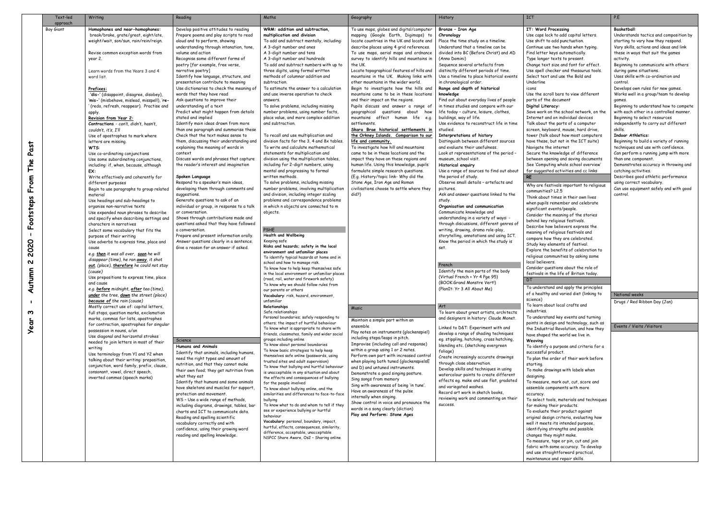|              | Text-led<br>approach | Writing                                                                                | Reading                                                                        | Maths                                                                                     | Geography                                                                             | History                                                                            | <b>ICT</b>                                                                          | P.E                                                                           |
|--------------|----------------------|----------------------------------------------------------------------------------------|--------------------------------------------------------------------------------|-------------------------------------------------------------------------------------------|---------------------------------------------------------------------------------------|------------------------------------------------------------------------------------|-------------------------------------------------------------------------------------|-------------------------------------------------------------------------------|
|              | Boy Giant            | Homophones and near-homophones:                                                        | Develop positive attitudes to reading                                          | WRM: addition and subtraction.                                                            | To use maps, globes and digital/computer                                              | Bronze - Iron Age                                                                  | IT: Word Processing                                                                 | <b>Basketball:</b>                                                            |
|              |                      | break/brake, grate/great, eight/ate,                                                   | Prepare poems and play scripts to read                                         | multiplication and division                                                               | mapping (Google Earth, Digimaps) to                                                   | Chronology                                                                         | Use caps lock to add capital letters.                                               | Understands tactics and composition by                                        |
|              |                      | weight/wait, son/sun, rain/rein/reign.                                                 | aloud and to perform, showing<br>understanding through intonation, tone,       | To add and subtract mentally, including:<br>A 3-digit number and ones                     | locate countries in the UK and locate and<br>describe places using 4 grid references. | Place the time study on a timeline.<br>Understand that a timeline can be           | Use shift to add punctuation.<br>Continue use two hands when typing.                | starting to vary how they respond.<br>Vary skills, actions and ideas and link |
|              |                      | Revise common exception words from                                                     | volume and action                                                              | A 3-digit number and tens                                                                 | To use maps, aerial maps and ordnance                                                 | divided into BC (Before Christ) and AD                                             | Find letter keys automatically.                                                     | these in ways that suit the games                                             |
|              |                      | year 2.                                                                                | Recognise some different forms of                                              | A 3-digit number and hundreds                                                             | survey to identify hills and mountains in                                             | (Anno Domini)                                                                      | Type longer texts to present.                                                       | activity.                                                                     |
|              |                      |                                                                                        | poetry [for example, free verse,                                               | To add and subtract numbers with up to                                                    | the UK.                                                                               | Sequence several artefacts from                                                    | Change text size and font for effect.                                               | Beginning to communicate with others                                          |
|              |                      | Learn words from the Years 3 and 4<br>word list.                                       | narrative poetry]<br>Identify how language, structure, and                     | three digits, using formal written<br>methods of columnar addition and                    | Locate topographical features of hills and<br>mountains in the UK. Making links with  | distinctly different periods of time.<br>Use a timeline to place historical events | Use spell checker and thesaurus tools.<br>Select text and use the Bold and          | during game situations.<br>Uses skills with co-ordination and                 |
|              |                      |                                                                                        | presentation contribute to meaning                                             | subtraction.                                                                              | other mountains in the wider world.                                                   | in chronological order.                                                            | Underline                                                                           | control.                                                                      |
|              |                      | Prefixes:                                                                              | Use dictionaries to check the meaning of                                       | To estimate the answer to a calculation                                                   | Begin to investigate how the hills and                                                | Range and depth of historical                                                      | icons                                                                               | Develops own rules for new games.                                             |
|              |                      | 'dis-' (disappoint, disagree, disobey),                                                | words that they have read                                                      | and use inverse operation to check                                                        | mountains came to be in these locations                                               | knowledge                                                                          | Use the scroll bars to view different                                               | Works well in a group/team to develop                                         |
|              |                      | 'mis-' (misbehave, mislead, misspell), 're-<br>(redo, refresh, reappear). Practise and | Ask questions to improve their<br>understanding of a text                      | answers.<br>To solve problems, including missing                                          | and their impact on the regions.<br>Pupils discuss and answer a range of              | Find out about everyday lives of people<br>in times studies and compare with our   | parts of the document<br>Digital Literacy:                                          | games.<br>Beginning to understand how to compete                              |
|              |                      | apply.                                                                                 | Predict what might happen from details                                         | number problems, using number facts,                                                      | geographical questions about how                                                      | life today - culture, leisure, clothes,                                            | Save work on the school network, on the                                             | with each other in a controlled manner.                                       |
|              |                      | Revision from Year 2:                                                                  | stated and implied                                                             | place value, and more complex addition                                                    | mountains affect human life e.g.                                                      | buildings, way of life.                                                            | Internet and on individual devices                                                  | Beginning to select resources                                                 |
|              |                      | Contractions - can't, didn't, hasn't,                                                  | Identify main ideas drawn from more<br>than one paragraph and summarise these  | and subtraction.                                                                          | settlements.                                                                          | Use evidence to reconstruct life in time<br>studied.                               | Talk about the parts of a computer                                                  | independently to carry out different<br>skills.                               |
|              |                      | couldn't, it's, I'll<br>Use of apostrophes to mark where                               | Check that the text makes sense to                                             | To recall and use multiplication and                                                      | Skara Brae historical settlements in<br>the Orkney Islands. Comparison to our         | Interpretations of history                                                         | screen, keyboard, mouse, hard drive,<br>tower (talk about how most computers        | <b>Indoor Athletics:</b>                                                      |
|              |                      | letters are missing.                                                                   | them, discussing their understanding and                                       | division facts for the 3, 4 and 8x tables.                                                | life and community.                                                                   | Distinguish between different sources                                              | have these, but not in the ICT suite)                                               | Beginning to build a variety of running                                       |
| as           |                      | WTS:                                                                                   | explaining the meaning of words in                                             | To write and calculate mathematical                                                       | To investigate how hill and mountains                                                 | and evaluate their usefulness.                                                     | Navigate the internet                                                               | techniques and use with confidence.                                           |
| ௨            |                      | Use co-ordinating conjunctions<br>Use some subordinating conjunctions,                 | context<br>Discuss words and phrases that capture                              | statements for multiplication and<br>division using the multiplication tables,            | came to be in these locations and the<br>impact they have on these regions and        | Look at representations of the period -<br>museum, school visit.                   | Secure the knowledge of difference<br>between opening and saving documents          | Can perform a running jump with more<br>than one component.                   |
| عْ           |                      | including: if, when, because, although                                                 | the reader's interest and imagination                                          | including for 2-digit numbers, using                                                      | human life. Using this knowledge, pupils                                              | Historical enquiry                                                                 | See 'Computing whole school overview'                                               | Demonstrates accuracy in throwing and                                         |
|              |                      | EX:                                                                                    |                                                                                | mental and progressing to formal                                                          | formulate simple research questions.                                                  | Use a range of sources to find out about                                           | for suggested activities and cc links                                               | catching activities.                                                          |
| rom          |                      | Write effectively and coherently for                                                   | Spoken Language                                                                | written methods.                                                                          | (E.g. History/topic link- Why did the<br>Stone Age, Iron Age and Roman                | the period of study.<br>Observe small details - artefacts and                      | RE                                                                                  | Describes good athletic performance                                           |
|              |                      | different purposes<br>Begin to use paragraphs to group related                         | Respond to a speaker's main ideas,<br>developing them through comments and     | To solve problems, including missing<br>number problems, involving multiplication         | civilisations choose to settle where they                                             | pictures.                                                                          | Why are festivals important to religious                                            | using correct vocabulary.<br>Can use equipment safely and with good           |
|              |                      | material                                                                               | suggestions.                                                                   | and division, including integer scaling                                                   | did?)                                                                                 | Ask and answer questions linked to the                                             | communities? L2.5<br>Think about times in their own lives                           | control.                                                                      |
|              |                      | Use headings and sub-headings to                                                       | Generate questions to ask of an                                                | problems and correspondence problems                                                      |                                                                                       | study.                                                                             | when pupils remember and celebrate                                                  |                                                                               |
|              |                      | organise non-narrative texts<br>Use expanded noun phrases to describe                  | individual or group, in response to a talk<br>or conversation.                 | in which n objects are connected to m<br>objects.                                         |                                                                                       | Organisation and communication<br>Communicate knowledge and                        | significant events/people.                                                          |                                                                               |
| ootsteps     |                      | and specify when describing settings and                                               | Shows through contributions made and                                           |                                                                                           |                                                                                       | understanding in a variety of ways: -                                              | Consider the meaning of the stories<br>behind key religious festivals.              |                                                                               |
|              |                      | characters in narratives                                                               | questions asked that they have followed                                        |                                                                                           |                                                                                       | through discussions, different genres of                                           | Describe how believers express the                                                  |                                                                               |
|              |                      | Select some vocabulary that fits the<br>purpose of their writing                       | a conversation.<br>Prepare and present information orally.                     | <b>PSHE</b><br>Health and Wellbeing                                                       |                                                                                       | writing, drawing, drama role-play,<br>storytelling, annotations and using ICT.     | meaning of religious festivals and                                                  |                                                                               |
| 0            |                      | Use adverbs to express time, place and                                                 | Answer questions clearly in a sentence.                                        | Keeping safe                                                                              |                                                                                       | Know the period in which the study is                                              | compare how they are celebrated.                                                    |                                                                               |
| ຆ<br>0       |                      | cause                                                                                  | Give a reason for an answer if asked.                                          | Risks and hazards; safety in the local                                                    |                                                                                       | set.                                                                               | Study key elements of festival.<br>Explore the benefits of celebration to           |                                                                               |
|              |                      | e.g. then it was all over, soon he will                                                |                                                                                | environment and unfamiliar places<br>To identify typical hazards at home and in           |                                                                                       |                                                                                    | religious communities by asking some                                                |                                                                               |
| ຆ            |                      | disappear (time), he ran away, it shot<br>out, (place), therefore he could not stay    |                                                                                | school and how to manage risk.                                                            |                                                                                       | French                                                                             | local believers.                                                                    |                                                                               |
|              |                      | (cause)                                                                                |                                                                                | To know how to help keep themselves safe<br>in the local environment or unfamiliar places |                                                                                       | Identify the main parts of the body                                                | Consider questions about the role of<br>festivals in the life of Britain today.     |                                                                               |
| <b>Itumn</b> |                      | Use prepositions to express time, place<br>and cause                                   |                                                                                | (road, rail, water and firework safety)                                                   |                                                                                       | (Virtual French + Yr 4 Pge 95)<br>(BOOK:Grand Monstre Vert!)                       | DT                                                                                  |                                                                               |
| द            |                      | e.g. before midnight, after tea (time),                                                |                                                                                | To know why we should follow rules from<br>our parents or others                          |                                                                                       | (PlanIt: Yr 3 All About Me)                                                        | To understand and apply the principles                                              |                                                                               |
|              |                      | under the tree, down the street (place)                                                |                                                                                | Vocabulary: risk, hazard, environment,                                                    |                                                                                       |                                                                                    | of a healthy and varied diet (linking to                                            | National weeks                                                                |
|              |                      | because of the rain (cause)                                                            |                                                                                | unfamiliar<br>Relationships                                                               |                                                                                       |                                                                                    | science)<br>To learn about local crafts and                                         | Drugs / Red Ribbon Day (Jan)                                                  |
| ო            |                      | Mostly correct use of: capital letters,<br>full stops, question marks, exclamation     |                                                                                | Safe relationships                                                                        | Music                                                                                 | Art<br>To learn about great artists, architects                                    | industries.                                                                         |                                                                               |
|              |                      | marks, commas for lists, apostrophes                                                   |                                                                                | Personal boundaries; safely responding to                                                 | Maintain a simple part within an                                                      | and designers in history: Claude Monet.                                            | To understand key events and turning                                                |                                                                               |
| ear          |                      | for contraction, apostrophes for singular                                              |                                                                                | others; the impact of hurtful behaviour<br>To know what is appropriate to share with      | ensemble                                                                              | Linked to D&T: Experiment with and                                                 | points in design and technology, such as<br>the Industrial Revolution, and how they | Events / Visits / Visitors                                                    |
|              |                      | possession in nouns, a/an<br>Use diagonal and horizontal strokes                       |                                                                                | friends, classmates, family and wider social                                              | Play notes on instruments (glockenspiel)                                              | develop a range of shading techniques                                              | have shaped the world we live in.                                                   |                                                                               |
|              |                      | needed to join letters in most of their                                                | Science                                                                        | groups including online<br>To know about personal boundaries                              | including steps/leaps in pitch.<br>Improvise (including call and response)            | eg. stippling, hatching, cross hatching,                                           | Weaving                                                                             |                                                                               |
|              |                      | writing                                                                                | Humans and Animals<br>Identify that animals, including humans                  | To know basic strategies to help keep                                                     | within a group using 1 or 2 notes.                                                    | blending etc. (sketching evergreen<br>foliage)                                     | To identify a purpose and criteria for a<br>successful product.                     |                                                                               |
|              |                      | Use terminology from Y1 and Y2 when<br>talking about their writing: preposition,       | need the right types and amount of                                             | themselves safe online (passwords, using                                                  | Perform own part with increased control                                               | Create increasingly accurate drawings                                              | To plan the order of their work before                                              |                                                                               |
|              |                      | conjunction, word family, prefix, clause,                                              | nutrition, and that they cannot make                                           | trusted sites and adult supervision)<br>To know that bullying and hurtful behaviour       | when playing both tuned (glockenspielsE<br>and D) and untuned instruments.            | through close observation.                                                         | starting.                                                                           |                                                                               |
|              |                      | consonant, vowel, direct speech,                                                       | their own food; they get nutrition from                                        | is unacceptable in any situation and about                                                | Demonstrate a good singing posture.                                                   | Develop skills and techniques in using<br>watercolour paints to create different   | To make drawings with labels when                                                   |                                                                               |
|              |                      | inverted commas (speech marks)                                                         | what they eat<br>Identify that humans and some animals                         | the effects and consequences of bullying<br>for the people involved                       | Sing songs from memory                                                                | effects eg. make and use flat, gradated                                            | designing.<br>To measure, mark out, cut, score and                                  |                                                                               |
|              |                      |                                                                                        | have skeletons and muscles for support,                                        | To know about bullying online, and the                                                    | Sing with awareness of being 'in tune'.<br>Have an awareness of the pulse             | and variegated washes.                                                             | assemble components with more                                                       |                                                                               |
|              |                      |                                                                                        | protection and movement.                                                       | similarities and differences to face-to-face                                              | internally when singing.                                                              | Record art work in sketch books,<br>reviewing work and commenting on their         | accuracy.                                                                           |                                                                               |
|              |                      |                                                                                        | WS - Use a wide range of methods,<br>including diagrams, drawings, tables, bar | bullying<br>To know what to do and whom to tell if they                                   | Show control in voice and pronounce the                                               | success.                                                                           | To select tools, materials and techniques<br>for making their products.             |                                                                               |
|              |                      |                                                                                        | charts and ICT to communicate data.                                            | see or experience bullying or hurtful                                                     | words in a song clearly (diction)                                                     |                                                                                    | To evaluate their product against                                                   |                                                                               |
|              |                      |                                                                                        | Reading and spelling scientific                                                | behaviour<br>Vocabulary: personal, boundary, impact,                                      | Play and Perform: Stone Ages                                                          |                                                                                    | original design criteria, evaluating how                                            |                                                                               |
|              |                      |                                                                                        | vocabulary correctly and with<br>confidence, using their growing word          | hurtful, effects, consequences, similarity,                                               |                                                                                       |                                                                                    | well it meets its intended purpose,<br>identifying strengths and possible           |                                                                               |
|              |                      |                                                                                        | reading and spelling knowledge.                                                | difference, acceptable, unacceptable                                                      |                                                                                       |                                                                                    | changes they might make.                                                            |                                                                               |
|              |                      |                                                                                        |                                                                                | NSPCC Share Aware, Os2 - Sharing online                                                   |                                                                                       |                                                                                    | To measure, tape or pin, cut and join                                               |                                                                               |
|              |                      |                                                                                        |                                                                                |                                                                                           |                                                                                       |                                                                                    | fabric with some accuracy. To develop<br>and use straightforward practical,         |                                                                               |
|              |                      |                                                                                        |                                                                                |                                                                                           |                                                                                       |                                                                                    | maintenance and repair skills.                                                      |                                                                               |
|              |                      |                                                                                        |                                                                                |                                                                                           |                                                                                       |                                                                                    |                                                                                     |                                                                               |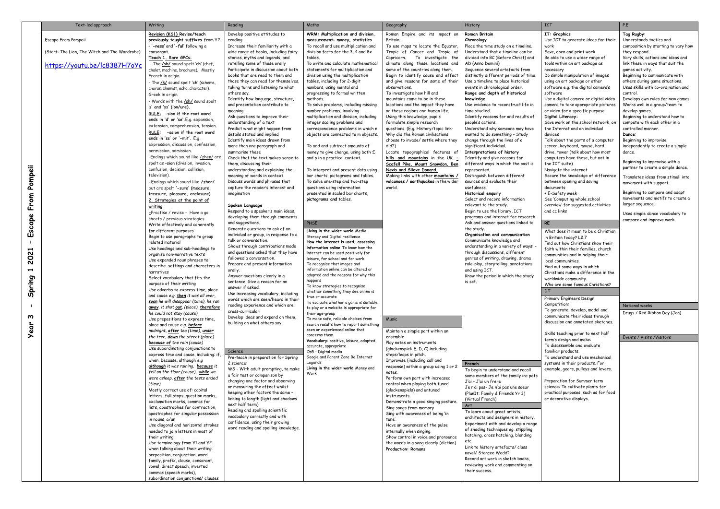|                       | Text-led approach                             | Writing                                                                       | Reading                                                                 | Maths                                                                             | Geography                                                               | History                                                                   | <b>ICT</b>                                                         | P.E                                                                |
|-----------------------|-----------------------------------------------|-------------------------------------------------------------------------------|-------------------------------------------------------------------------|-----------------------------------------------------------------------------------|-------------------------------------------------------------------------|---------------------------------------------------------------------------|--------------------------------------------------------------------|--------------------------------------------------------------------|
|                       |                                               | Revision (KS1) Revise/teach                                                   | Develop positive attitudes to                                           | WRM: Multiplication and division,                                                 | Roman Empire and its impact on                                          | Roman Britain                                                             | IT: Graphics                                                       | Tag Rugby:                                                         |
|                       | Escape From Pompeii                           | previously taught suffixes from Y2<br>- '-ness' and '-ful' following a        | reading<br>Increase their familiarity with a                            | measurement: money, statistics<br>To recall and use multiplication and            | Britain.<br>To use maps to locate the Equator,                          | Chronology<br>Place the time study on a timeline.                         | Use ICT to generate ideas for their                                | Understands tactics and<br>composition by starting to vary how     |
|                       | (Start: The Lion, The Witch and The Wardrobe) | consonant.                                                                    | wide range of books, including fairy                                    | division facts for the 3, 4 and 8x                                                | Tropic of Cancer and Tropic of                                          | Understand that a timeline can be                                         | Save, open and print work                                          | they respond.                                                      |
|                       |                                               | Teach 1. Rare GPCs:                                                           | stories, myths and legends, and                                         | tables.                                                                           | Capricorn. To investigate the                                           | divided into BC (Before Christ) and                                       | Be able to use a wider range of                                    | Vary skills, actions and ideas and                                 |
|                       | https://youtu.be/lc8387H7oYc                  | - The /sh/ sound spelt 'ch' (chef,                                            | retelling some of these orally                                          | To write and calculate mathematical                                               | climate along these locations and                                       | AD (Anno Domini)                                                          | tools within an art package as                                     | link these in ways that suit the                                   |
|                       |                                               | chalet, machine, brochure). Mostly<br>French in origin.                       | Participate in discussion about both<br>books that are read to them and | statements for multiplication and<br>division using the multiplication            | some of the countries along them.<br>Begin to identify cause and effect | Sequence several artefacts from<br>distinctly different periods of time.  | necessary<br>Do simple manipulation of images                      | games activity.<br>Beginning to communicate with                   |
|                       |                                               | - The /k/ sound spelt 'ch' (scheme)                                           | those they can read for themselves.                                     | tables, including for 2-digit                                                     | and give reasons for some of their                                      | Use a timeline to place historical                                        | using an art package or other                                      | others during game situations.                                     |
|                       |                                               | chorus, chemist, echo, character).                                            | taking turns and listening to what                                      | numbers, using mental and                                                         | observations.                                                           | events in chronological order.                                            | software e.g. the digital camera's                                 | Uses skills with co-ordination and                                 |
|                       |                                               | Greek in origin.                                                              | others say.<br>Identify how language, structure,                        | progressing to formal written<br>methods.                                         | To investigate how hill and<br>mountains came to be in these            | Range and depth of historical<br>knowledge                                | software<br>Use a digital camera or digital video                  | control.<br>Develops own rules for new games.                      |
|                       |                                               | - Words with the /sh/ sound spelt<br>'s' and 'ss' (ion/ure).                  | and presentation contribute to                                          | To solve problems, including missing                                              | locations and the impact they have                                      | Use evidence to reconstruct life in                                       | camera to take appropriate pictures                                | Works well in a group/team to                                      |
|                       |                                               | RULE: - sion if the root word                                                 | meaning                                                                 | number problems, involving                                                        | on these regions and human life.                                        | time studied.                                                             | or video for a specific purpose                                    | develop games.                                                     |
|                       |                                               | ends in 'd' or 'se'. E.g. expansion,                                          | Ask questions to improve their<br>understanding of a text               | multiplication and division, including<br>integer scaling problems and            | Using this knowledge, pupils<br>formulate simple research               | Identify reasons for and results of<br>people's actions.                  | Digital Literacy:<br>Save work on the school network, on           | Beginning to understand how to<br>compete with each other in a     |
|                       |                                               | extension, comprehension, tension.                                            | Predict what might happen from                                          | correspondence problems in which n                                                | questions. (E.g. History/topic link-                                    | Understand why someone may have                                           | the Internet and on individual                                     | controlled manner.                                                 |
|                       |                                               | RULE: - ssion if the root word<br>ends in 'ss' or '-mit'. E.g.                | details stated and implied                                              | objects are connected to m objects.                                               | Why did the Roman civilisations                                         | wanted to do something - Study                                            | devices                                                            | Dance:                                                             |
|                       |                                               | expression, discussion, confession                                            | Identify main ideas drawn from                                          |                                                                                   | choose to invade/ settle where they                                     | change through the lives of a                                             | Talk about the parts of a computer                                 | Beginning to improvise                                             |
|                       |                                               | permission, admission.                                                        | more than one paragraph and<br>summarise these                          | To add and subtract amounts of<br>money to give change, using both £              | did?)<br>Locate topographical features of                               | significant individual.<br>Interpretations of history                     | screen, keyboard, mouse, hard<br>drive, tower (talk about how most | independently to create a simple<br>dance.                         |
|                       |                                               | -Endings which sound like /zhen/ are                                          | Check that the text makes sense to                                      | and p in a practical context.                                                     | hills and mountains in the UK. -                                        | Identify and give reasons for                                             | computers have these, but not in                                   |                                                                    |
|                       |                                               | spelt as -sion (division, invasion,                                           | them, discussing their                                                  |                                                                                   | Scafell Pike, Mount Snowdon, Ben                                        | different ways in which the past is                                       | the ICT suite)                                                     | Beginning to improvise with a<br>partner to create a simple dance. |
| Pompeii               |                                               | confusion, decision, collision,<br>television).                               | understanding and explaining the<br>meaning of words in context         | To interpret and present data using<br>bar charts, pictograms and tables.         | Nevis and Slieve Donard.<br>Making links with other <b>mountains</b> ,  | represented.<br>Distinguish between different                             | Navigate the internet<br>Secure the knowledge of difference        |                                                                    |
|                       |                                               | -Endings which sound like /zher/                                              | Discuss words and phrases that                                          | To solve one-step and two-step                                                    | volcanoes / earthquakes in the wider                                    | sources and evaluate their                                                | between opening and saving                                         | Translates ideas from stimuli into<br>movement with support.       |
|                       |                                               | but are spelt '-sure' (measure,                                               | capture the reader's interest and                                       | questions using information                                                       | world.                                                                  | usefulness.                                                               | documents                                                          |                                                                    |
|                       |                                               | treasure, pleasure, enclosure)                                                | imagination                                                             | presented in scaled bar charts,<br>pictograms and tables.                         |                                                                         | Historical enquiry<br>Select and record information                       | + E-Safety week<br>See 'Computing whole school                     | Beginning to compare and adapt<br>movements and motifs to create a |
| From                  |                                               | 2. Strategies at the point of<br>writing                                      | Spoken Language                                                         |                                                                                   |                                                                         | relevant to the study.                                                    | overview' for suggested activities                                 | larger sequence.                                                   |
|                       |                                               | -Practise / revise - Have a go                                                | Respond to a speaker's main ideas,                                      |                                                                                   |                                                                         | Begin to use the library, ICT                                             | and cc links                                                       | Uses simple dance vocabulary to                                    |
|                       |                                               | sheets / previous strategies                                                  | developing them through comments                                        | PHSE                                                                              |                                                                         | programs and internet for research.<br>Ask and answer questions linked to | <b>RE</b>                                                          | compare and improve work.                                          |
| Escape                |                                               | Write effectively and coherently<br>for different purposes                    | and suggestions.<br>Generate questions to ask of an                     | Living in the wider world Media                                                   |                                                                         | the study.                                                                |                                                                    |                                                                    |
|                       |                                               | Begin to use paragraphs to group                                              | individual or group, in response to a                                   | literacy and Digital resilience                                                   |                                                                         | Organisation and communication                                            | What does it mean to be a Christian<br>in Britain today? L2.7      |                                                                    |
|                       |                                               | related material                                                              | talk or conversation.<br>Shows through contributions made               | How the internet is used; assessing                                               |                                                                         | Communicate knowledge and<br>understanding in a variety of ways: -        | Find out how Christians show their                                 |                                                                    |
| $\overline{c}$        |                                               | Use headings and sub-headings to<br>organise non-narrative texts              | and questions asked that they have                                      | information online To know how the<br>internet can be used positively for         |                                                                         | through discussions, different                                            | faith within their families, church                                |                                                                    |
| 8                     |                                               | Use expanded noun phrases to                                                  | followed a conversation.                                                | leisure, for school and for work                                                  |                                                                         | genres of writing, drawing, drama                                         | communities and in helping their<br>local communities.             |                                                                    |
|                       |                                               | describe settings and characters in                                           | Prepare and present information                                         | To recognise that images and<br>information online can be altered or              |                                                                         | role-play, storytelling, annotations<br>and using ICT.                    | Find out some ways in which                                        |                                                                    |
| $\blacktriangleright$ |                                               | narratives<br>Select vocabulary that fits the                                 | orally.<br>Answer questions clearly in a                                | adapted and the reasons for why this                                              |                                                                         | Know the period in which the study                                        | Christians make a difference in the                                |                                                                    |
| Spring                |                                               | purpose of their writing                                                      | sentence. Give a reason for an                                          | happens                                                                           |                                                                         | is set.                                                                   | worldwide community.<br>Who are some famous Christians?            |                                                                    |
|                       |                                               | Use adverbs to express time, place                                            | answer if asked.<br>Use increasing vocabulary, including                | To know strategies to recognise<br>whether something they see online is           |                                                                         |                                                                           |                                                                    |                                                                    |
|                       |                                               | and cause e.g. then it was all over,<br>soon he will disappear (time), he ran | words which are seen/heard in their                                     | true or accurate                                                                  |                                                                         |                                                                           | Primary Engineers Design                                           |                                                                    |
|                       |                                               | away, it shot out, (place), therefore                                         | reading experience and which are                                        | To evaluate whether a game is suitable<br>to play or a website is appropriate for |                                                                         |                                                                           | Competition:                                                       | National weeks                                                     |
|                       |                                               | he could not stay (cause)                                                     | cross-curricular.                                                       | their age-group                                                                   |                                                                         |                                                                           | To generate, develop, model and<br>communicate their ideas through | Drugs / Red Ribbon Day (Jan)                                       |
| ო                     |                                               | Use prepositions to express time,                                             | Develop ideas and expand on them,<br>building on what others say.       | To make safe, reliable choices from                                               | Music                                                                   |                                                                           | discussion and annotated sketches.                                 |                                                                    |
| ear                   |                                               | place and cause e.g. before<br>midnight, after tea (time), under              |                                                                         | search results how to report something<br>seen or experienced online that         | Maintain a simple part within an                                        |                                                                           |                                                                    |                                                                    |
| ≻                     |                                               | the tree, down the street (place)                                             |                                                                         | concerns them                                                                     | ensemble                                                                |                                                                           | Skills teaching prior to next half<br>term's design and make:      | Events / Visits / Visitors                                         |
|                       |                                               | because of the rain (cause)                                                   |                                                                         | Vocabulary: positive, leisure, adapted<br>accurate, appropriate                   | Play notes on instruments                                               |                                                                           | To disassemble and evaluate                                        |                                                                    |
|                       |                                               | Use subordinating conjunctions to<br>express time and cause, including: if,   | Science                                                                 | Os5 - Digital media                                                               | (glockenspiel: E, D, C) including<br>steps/leaps in pitch.              |                                                                           | familiar products.                                                 |                                                                    |
|                       |                                               | when, because, although e.g                                                   | Pre-teach in preparation for Spring<br>2 science:                       | Google and Parent Zone Be Internet<br>Legends                                     | Improvise (including call and                                           | French                                                                    | To understand and use mechanical<br>systems in their products. For |                                                                    |
|                       |                                               | although it was raining, because it                                           | WS - With adult prompting, to make                                      | Living in the wider world Money and                                               | response) within a group using 1 or 2                                   | To begin to understand and recall                                         | example, gears, pulleys and levers.                                |                                                                    |
|                       |                                               | fell on the floor (cause), while we<br>were asleep, after the tests ended     | a fair test or comparison by                                            | Work                                                                              | notes.<br>Perform own part with increased                               | some members of the family inc pets                                       |                                                                    |                                                                    |
|                       |                                               | (time)                                                                        | changing one factor and observing<br>or measuring the effect whilst     |                                                                                   | control when playing both tuned                                         | J'ai - J'ai un frere                                                      | Preparation for Summer term<br>science: To cultivate plants for    |                                                                    |
|                       |                                               | Mostly correct use of: capital                                                | keeping other factors the same -                                        |                                                                                   | (glockenspiels) and untuned                                             | Je n'ai pas- Je n'ai pas une soeur<br>(PlanIt: Family & Friends Yr 3)     | practical purposes, such as for food                               |                                                                    |
|                       |                                               | letters, full stops, question marks,<br>exclamation marks, commas for         | linking to length (light and shadows                                    |                                                                                   | instruments.<br>Demonstrate a good singing posture.                     | (Virtual French)                                                          | or decorative displays.                                            |                                                                    |
|                       |                                               | lists, apostrophes for contraction,                                           | next half term)                                                         |                                                                                   | Sing songs from memory                                                  | Art                                                                       |                                                                    |                                                                    |
|                       |                                               | apostrophes for singular possession                                           | Reading and spelling scientific<br>vocabulary correctly and with        |                                                                                   | Sing with awareness of being 'in                                        | To learn about great artists,<br>architects and designers in history.     |                                                                    |                                                                    |
|                       |                                               | in nouns, a/an<br>Use diagonal and horizontal strokes                         | confidence, using their growing                                         |                                                                                   | tune'.<br>Have an awareness of the pulse                                | Experiment with and develop a range                                       |                                                                    |                                                                    |
|                       |                                               | needed to join letters in most of                                             | word reading and spelling knowledge.                                    |                                                                                   | internally when singing.                                                | of shading techniques eq. stippling,                                      |                                                                    |                                                                    |
|                       |                                               | their writing                                                                 |                                                                         |                                                                                   | Show control in voice and pronounce                                     | hatching, cross hatching, blending                                        |                                                                    |                                                                    |
|                       |                                               | Use terminology from Y1 and Y2                                                |                                                                         |                                                                                   | the words in a song clearly (diction)                                   | Link to history artefacts/ class                                          |                                                                    |                                                                    |
|                       |                                               | when talking about their writing:<br>preposition, conjunction, word           |                                                                         |                                                                                   | <b>Production: Romans</b>                                               | novel/ Stancee Wedd?                                                      |                                                                    |                                                                    |
|                       |                                               | family, prefix, clause, consonant,                                            |                                                                         |                                                                                   |                                                                         | Record art work in sketch books,                                          |                                                                    |                                                                    |
|                       |                                               | vowel, direct speech, inverted                                                |                                                                         |                                                                                   |                                                                         | reviewing work and commenting on<br>their success.                        |                                                                    |                                                                    |
|                       |                                               | commas (speech marks),<br>subordination conjunctions/ clauses                 |                                                                         |                                                                                   |                                                                         |                                                                           |                                                                    |                                                                    |
|                       |                                               |                                                                               |                                                                         |                                                                                   |                                                                         |                                                                           |                                                                    |                                                                    |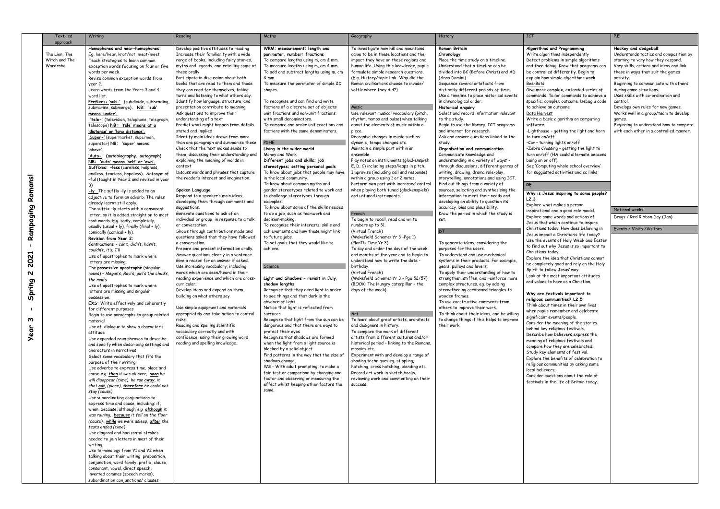| Text-led                                               | Writing                                                                                                                                                                                                                                                                                                                                                                                                                                                                                                                                                                                                                                                                                                                                                                                                                                                                                                                                                                                                                                                                                                                                                                                                                                                                                                                                                                                                                                                                                                                                                                                                                                                                                                                                                                                                                                                                                                                                                                                                                                                                                                                                                                                                                                                                                                                                                                                                                                                                                                                                                                                                                                                               | Reading                                                                                                                                                                                                                                                                                                                                                                                                                                                                                                                                                                                                                                                                                                                                                                                                                                                                                                                                                                                                                                                                                                                                                                                                                                                                                                                                                                                                                                                                                                                                                                                                                                                                                                                                                                                             | Maths                                                                                                                                                                                                                                                                                                                                                                                                                                                                                                                                                                                                                                                                                                                                                                                                                                                                                                                                                                                                                                                                                                                                                                                                                                                                                                                                                                                                                                                                                                                                                                                                                                                                                                                                                                                                     | Geography                                                                                                                                                                                                                                                                                                                                                                                                                                                                                                                                                                                                                                                                                                                                                                                                                                                                                                                                                                                                                                                                                                                                                                                                                                                                                                                                                                                                                                                                                                                                                                                                                                                                                                                                                      | History                                                                                                                                                                                                                                                                                                                                                                                                                                                                                                                                                                                                                                                                                                                                                                                                                                                                                                                                                                                                                                                                                                                                                                                                                                                                                                                                                                                                                                                                                                                                                                                      | <b>ICT</b>                                                                                                                                                                                                                                                                                                                                                                                                                                                                                                                                                                                                                                                                                                                                                                                                                                                                                                                                                                                                                                                                                                                                                                                                                                                                                                                                                                                                                                                                                                                                                                                                                                                                                                                                                                                                                                                                                                                                                                             | P.E                                                                                                                                                                                                                                                                                                                                                                                                                                                                                                                                                                                  |
|--------------------------------------------------------|-----------------------------------------------------------------------------------------------------------------------------------------------------------------------------------------------------------------------------------------------------------------------------------------------------------------------------------------------------------------------------------------------------------------------------------------------------------------------------------------------------------------------------------------------------------------------------------------------------------------------------------------------------------------------------------------------------------------------------------------------------------------------------------------------------------------------------------------------------------------------------------------------------------------------------------------------------------------------------------------------------------------------------------------------------------------------------------------------------------------------------------------------------------------------------------------------------------------------------------------------------------------------------------------------------------------------------------------------------------------------------------------------------------------------------------------------------------------------------------------------------------------------------------------------------------------------------------------------------------------------------------------------------------------------------------------------------------------------------------------------------------------------------------------------------------------------------------------------------------------------------------------------------------------------------------------------------------------------------------------------------------------------------------------------------------------------------------------------------------------------------------------------------------------------------------------------------------------------------------------------------------------------------------------------------------------------------------------------------------------------------------------------------------------------------------------------------------------------------------------------------------------------------------------------------------------------------------------------------------------------------------------------------------------------|-----------------------------------------------------------------------------------------------------------------------------------------------------------------------------------------------------------------------------------------------------------------------------------------------------------------------------------------------------------------------------------------------------------------------------------------------------------------------------------------------------------------------------------------------------------------------------------------------------------------------------------------------------------------------------------------------------------------------------------------------------------------------------------------------------------------------------------------------------------------------------------------------------------------------------------------------------------------------------------------------------------------------------------------------------------------------------------------------------------------------------------------------------------------------------------------------------------------------------------------------------------------------------------------------------------------------------------------------------------------------------------------------------------------------------------------------------------------------------------------------------------------------------------------------------------------------------------------------------------------------------------------------------------------------------------------------------------------------------------------------------------------------------------------------------|-----------------------------------------------------------------------------------------------------------------------------------------------------------------------------------------------------------------------------------------------------------------------------------------------------------------------------------------------------------------------------------------------------------------------------------------------------------------------------------------------------------------------------------------------------------------------------------------------------------------------------------------------------------------------------------------------------------------------------------------------------------------------------------------------------------------------------------------------------------------------------------------------------------------------------------------------------------------------------------------------------------------------------------------------------------------------------------------------------------------------------------------------------------------------------------------------------------------------------------------------------------------------------------------------------------------------------------------------------------------------------------------------------------------------------------------------------------------------------------------------------------------------------------------------------------------------------------------------------------------------------------------------------------------------------------------------------------------------------------------------------------------------------------------------------------|----------------------------------------------------------------------------------------------------------------------------------------------------------------------------------------------------------------------------------------------------------------------------------------------------------------------------------------------------------------------------------------------------------------------------------------------------------------------------------------------------------------------------------------------------------------------------------------------------------------------------------------------------------------------------------------------------------------------------------------------------------------------------------------------------------------------------------------------------------------------------------------------------------------------------------------------------------------------------------------------------------------------------------------------------------------------------------------------------------------------------------------------------------------------------------------------------------------------------------------------------------------------------------------------------------------------------------------------------------------------------------------------------------------------------------------------------------------------------------------------------------------------------------------------------------------------------------------------------------------------------------------------------------------------------------------------------------------------------------------------------------------|----------------------------------------------------------------------------------------------------------------------------------------------------------------------------------------------------------------------------------------------------------------------------------------------------------------------------------------------------------------------------------------------------------------------------------------------------------------------------------------------------------------------------------------------------------------------------------------------------------------------------------------------------------------------------------------------------------------------------------------------------------------------------------------------------------------------------------------------------------------------------------------------------------------------------------------------------------------------------------------------------------------------------------------------------------------------------------------------------------------------------------------------------------------------------------------------------------------------------------------------------------------------------------------------------------------------------------------------------------------------------------------------------------------------------------------------------------------------------------------------------------------------------------------------------------------------------------------------|----------------------------------------------------------------------------------------------------------------------------------------------------------------------------------------------------------------------------------------------------------------------------------------------------------------------------------------------------------------------------------------------------------------------------------------------------------------------------------------------------------------------------------------------------------------------------------------------------------------------------------------------------------------------------------------------------------------------------------------------------------------------------------------------------------------------------------------------------------------------------------------------------------------------------------------------------------------------------------------------------------------------------------------------------------------------------------------------------------------------------------------------------------------------------------------------------------------------------------------------------------------------------------------------------------------------------------------------------------------------------------------------------------------------------------------------------------------------------------------------------------------------------------------------------------------------------------------------------------------------------------------------------------------------------------------------------------------------------------------------------------------------------------------------------------------------------------------------------------------------------------------------------------------------------------------------------------------------------------------|--------------------------------------------------------------------------------------------------------------------------------------------------------------------------------------------------------------------------------------------------------------------------------------------------------------------------------------------------------------------------------------------------------------------------------------------------------------------------------------------------------------------------------------------------------------------------------------|
| approach<br>The Lion, The<br>Witch and The<br>Wardrobe | Homophones and near-homophones:<br>Eg. here/hear, knot/not, meat/meet<br>Teach strategies to learn common<br>exception words focusing on four or five<br>words per week.<br>Revise common exception words from<br>year 2.<br>Learn words from the Years 3 and 4<br>word list.<br>Prefixes: 'sub-' (subdivide, subheading,<br>submarine, submerge). NB: 'sub'<br>means 'under'.<br>'tele-' (television, telephone, telegraph<br>telescope) NB: 'tele' means at a<br><u>'distance' or 'long distance'.</u><br>'Super-' (supermarket, superman,<br>superstar) NB: 'super' means<br>'above'.<br>'Auto-' (autobiography, autograph)<br>NB: 'auto' means 'self' or 'own'.<br><b>Suffixes: - less</b> (careless, helpless,<br>endless, fearless, hopeless). Antonym of<br>-ful (taught in Year 2 and revised in year<br>3)<br>-ly The suffix -ly is added to an<br>adjective to form an adverb. The rules<br>already learnt still apply.<br>The suffix -ly starts with a consonant<br>letter, so it is added straight on to most<br>root words. E.g. sadly, completely,<br>usually (usual + ly), finally (final + ly),<br>comically (comical + ly).<br>Revision from Year 2:<br>Contractions - can't, didn't, hasn't,<br>couldn't, it's, I'll<br>Use of apostrophes to mark where<br>letters are missing.<br>The possessive apostrophe (singular<br>nouns) - Megan's, Ravi's, girl's the child's,<br>the man's<br>Use of apostrophes to mark where<br>letters are missing and singular<br>possession.<br>EXS: Write effectively and coherently<br>for different purposes<br>Begin to use paragraphs to group related<br>material<br>Use of dialogue to show a character's<br>attitude<br>Use expanded noun phrases to describe<br>and specify when describing settings and<br>characters in narratives<br>Select some vocabulary that fits the<br>purpose of their writing<br>Use adverbs to express time, place and<br>cause e.g. then it was all over, soon he<br>will disappear (time), he ran <i>away</i> , it<br>shot out, (place), therefore he could not<br>stay (cause)<br>Use subordinating conjunctions to<br>express time and cause, including: if,<br>when, because, although e.g although it<br>was raining, <b>because</b> it fell on the floor<br>(cause), while we were asleep, after the<br>tests ended (time)<br>Use diagonal and horizontal strokes<br>needed to join letters in most of their<br>writing.<br>Use terminology from Y1 and Y2 when<br>talking about their writing: preposition,<br>conjunction, word family, prefix, clause,<br>consonant, vowel, direct speech,<br>inverted commas (speech marks),<br>subordination conjunctions/ clauses | Develop positive attitudes to reading<br>Increase their familiarity with a wide<br>range of books, including fairy stories,<br>myths and legends, and retelling some of<br>these orally<br>Participate in discussion about both<br>books that are read to them and those<br>they can read for themselves, taking<br>turns and listening to what others say.<br>Identify how language, structure, and<br>presentation contribute to meaning<br>Ask questions to improve their<br>understanding of a text<br>Predict what might happen from details<br>stated and implied<br>Identify main ideas drawn from more<br>than one paragraph and summarise these<br>Check that the text makes sense to<br>them, discussing their understanding and<br>explaining the meaning of words in<br>context<br>Discuss words and phrases that capture<br>the reader's interest and imagination.<br>Spoken Language<br>Respond to a speaker's main ideas,<br>developing them through comments and<br>suggestions.<br>Generate questions to ask of an<br>individual or group, in response to a talk<br>or conversation.<br>Shows through contributions made and<br>questions asked that they have followed<br>a conversation.<br>Prepare and present information orally.<br>Answer questions clearly in a sentence.<br>Give a reason for an answer if asked.<br>Use increasing vocabulary, including<br>words which are seen/heard in their<br>reading experience and which are cross-<br>curricular.<br>Develop ideas and expand on them,<br>building on what others say.<br>Use simple equipment and materials<br>appropriately and take action to control<br>risks.<br>Reading and spelling scientific<br>vocabulary correctly and with<br>confidence, using their growing word<br>reading and spelling knowledge. | WRM: measurement: length and<br>perimeter, number: fractions<br>To compare lengths using m, cm & mm.<br>To measure lengths using m, cm & mm.<br>To add and subtract lengths using m, cm<br>& mm.<br>To measure the perimeter of simple 2D<br>shapes.<br>To recognise and can find and write<br>factions of a discrete set of objects:<br>unit fractions and non-unit fractions<br>with small denominators.<br>To compare and order unit fractions and<br>factions with the same denominators.<br><b>PSHE</b><br>Living in the wider world<br>Money and Work<br>Different jobs and skills; job<br>stereotypes; setting personal goals<br>To know about jobs that people may have<br>in the local community.<br>To know about common myths and<br>gender stereotypes related to work and<br>to challenge stereotypes through<br>examples.<br>To know about some of the skills needed<br>to do a job, such as teamwork and<br>decision-making.<br>To recognise their interests, skills and<br>achievements and how these might link<br>to future jobs.<br>To set goals that they would like to<br>achieve.<br>Science<br>Light and Shadows - revisit in July,<br>shadow lengths<br>Recognise that they need light in order<br>to see things and that dark is the<br>absence of light<br>Notice that light is reflected from<br>surfaces<br>Recognise that light from the sun can be<br>dangerous and that there are ways to<br>protect their eyes<br>Recognise that shadows are formed<br>when the light from a light source is<br>blocked by a solid object<br>Find patterns in the way that the size of<br>shadows change.<br>WS - With adult prompting, to make a<br>fair test or comparison by changing one<br>factor and observing or measuring the<br>effect whilst keeping other factors the<br>same. | To investigate how hill and mountains<br>came to be in these locations and the<br>impact they have on these regions and<br>human life. Using this knowledge, pupils<br>formulate simple research questions.<br>(E.g. History/topic link- Why did the<br>Roman civilisations choose to invade/<br>settle where they did?)<br><b>Music</b><br>Use relevant musical vocabulary (pitch,<br>rhythm, tempo and pulse) when talking<br>about the elements of music within a<br>piece.<br>Recognise changes in music such as<br>dynamic, tempo changes etc.<br>Maintain a simple part within an<br>ensemble<br>Play notes on instruments (glockenspiel)<br>E, D, C) including steps/leaps in pitch.<br>Improvise (including call and response)<br>within a group using 1 or 2 notes.<br>Perform own part with increased control<br>when playing both tuned (glockenspiels)<br>and untuned instruments.<br>French<br>To begin to recall, read and write<br>numbers up to 31.<br>(Virtual French)<br>(Wakefield Scheme: Yr 3 -Pge 1)<br>(PlanIt: Time Yr 3)<br>To say and order the days of the week<br>and months of the year and to begin to<br>understand how to write the date -<br>birthday<br>(Virtual French)<br>(Wakefield Scheme: Yr 3 - Pge 52/57)<br>(BOOK: The Hungry caterpillar - the<br>days of the week)<br>Art<br>To learn about great artists, architects<br>and designers in history.<br>To compare the work of different<br>artists from different cultures and/or<br>historical period - linking to the Romans,<br>mosaics etc.<br>Experiment with and develop a range of<br>shading techniques eq. stippling,<br>hatching, cross hatching, blending etc.<br>Record art work in sketch books,<br>reviewing work and commenting on their<br>success. | Roman Britain<br>Chronology<br>Place the time study on a timeline.<br>Understand that a timeline can be<br>divided into BC (Before Christ) and AD<br>(Anno Domini)<br>Sequence several artefacts from<br>distinctly different periods of time.<br>Use a timeline to place historical events<br>in chronological order.<br>Historical enquiry<br>Select and record information relevant<br>to the study.<br>Begin to use the library, ICT programs<br>and internet for research.<br>Ask and answer questions linked to the<br>study.<br>Organisation and communication<br>Communicate knowledge and<br>understanding in a variety of ways: -<br>through discussions, different genres of<br>writing, drawing, drama role-play,<br>storytelling, annotations and using ICT.<br>Find out things from a variety of<br>sources, selecting and synthesising the<br>information to meet their needs and<br>developing an ability to question its<br>accuracy, bias and plausibility.<br>Know the period in which the study is<br>set.<br><b>DT</b><br>To generate ideas, considering the<br>purposes for the users.<br>To understand and use mechanical<br>systems in their products. For example<br>gears, pulleys and levers.<br>To apply their understanding of how to<br>strengthen, stiffen, and reinforce more<br>complex structures, eq. by adding<br>strengthening cardboard triangles to<br>wooden frames.<br>To use constructive comments from<br>others to improve their work.<br>To think about their ideas, and be willing<br>to change things if this helps to improve<br>their work. | Algorithms and Programming<br>Write algorithms independently<br>Detect problems in simple algorithms<br>and then debug. Know that programs can<br>be controlled differently. Begin to<br>explain how simple algorithms work<br>Bee-Bots<br>Give more complex, extended series of<br>commands. Tailor commands to achieve a<br>specific, complex outcome. Debug a code<br>to achieve an outcome<br>Data Harvest<br>Write a basic algorithm on computing<br>software.<br>-Lighthouse - getting the light and horn<br>to turn on/off<br>-Car - turning lights on/off<br>-Zebra Crossing - getting the light to<br>turn on/off (HA could alternate beacons<br>being on or off)<br>See 'Computing whole school overview'<br>for suggested activities and cc links<br><b>RE</b><br>Why is Jesus inspiring to some people?<br>L2.3<br>Explore what makes a person<br>inspirational and a good role model.<br>Explore some words and actions of<br>Jesus that which continue to inspire<br>Christians today. How does believing in<br>Jesus impact a Christian's life today?<br>Use the events of Holy Week and Easter<br>to find out why Jesus is so important to<br>Christians today.<br>Explore the idea that Christians cannot<br>be completely good and rely on the Holy<br>Spirit to follow Jesus' way.<br>Look at the most important attitudes<br>and values to have as a Christian.<br>Why are festivals important to<br>religious communities? L2.5<br>Think about times in their own lives<br>when pupils remember and celebrate<br>significant events/people.<br>Consider the meaning of the stories<br>behind key religious festivals.<br>Describe how believers express the<br>meaning of religious festivals and<br>compare how they are celebrated.<br>Study key elements of festival.<br>Explore the benefits of celebration to<br>religious communities by asking some<br>local believers.<br>Consider questions about the role of<br>festivals in the life of Britain today. | Hockey and dodgeball:<br>Understands tactics and composition by<br>starting to vary how they respond.<br>Vary skills, actions and ideas and link<br>these in ways that suit the games<br>activity.<br>Beginning to communicate with others<br>during game situations.<br>Uses skills with co-ordination and<br>control.<br>Develops own rules for new games.<br>Works well in a group/team to develop<br>games.<br>Beginning to understand how to compete<br>with each other in a controlled manner.<br>National weeks<br>Drugs / Red Ribbon Day (Jan)<br>Events / Visits / Visitors |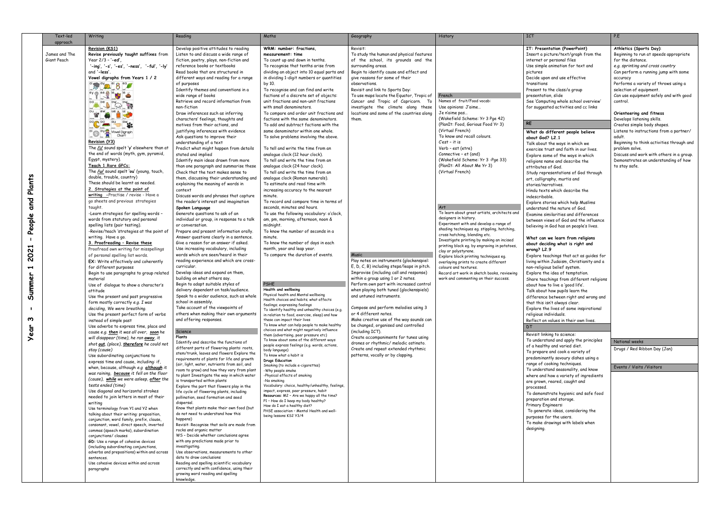| Text-led                                                                                                        | Writing                                                                                                                                                                                                                                                                                                                                                                                                                                                                                                                                                                                                                                                                                                                                                                                                                                                                                                                                                                                                                                                                                                                                                                                                                                                                                                                                                                                                                                                                                                                                                                                                                                                                                                                                                                                                                                                                                                                                                                                                                                                                                                                                                                                                                                                                                                                                                                                                                                           | Reading                                                                                                                                                                                                                                                                                                                                                                                                                                                                                                                                                                                                                                                                                                                                                                                                                                                                                                                                                                                                                                                                                                                                                                                                                                                                                                                                                                                                                                                                                                                                                                                                                                                                                                                                                                                                                                                                                                                                                                                                                                                                                                                                                                                                                                                                                                                                                                                                                                                                                                                                                                                                                                                                                                                                       | Maths                                                                                                                                                                                                                                                                                                                                                                                                                                                                                                                                                                                                                                                                                                                                                                                                                                                                                                                                                                                                                                                                                                                                                                                                                                                                                                                                                                                                                                                                                                                                                                                                                                                                                                                                                                                                                                                                                                                                                                                                                                                                                                                                                                                                                                                          | Geography                                                                                                                                                                                                                                                                                                                                                                                                                                                                                                                                                                                                                                                                                                                                                                                                                                                                                                                                                                                                                                                                     | History                                                                                                                                                                                                                                                                                                                                                                                                                                                                                                                                                                                                                                                                                                                                                                                                                                                                                          | <b>ICT</b>                                                                                                                                                                                                                                                                                                                                                                                                                                                                                                                                                                                                                                                                                                                                                                                                                                                                                                                                                                                                                                                                                                                                                                                                                                                                                                                                                                                                                                                                                                                                                                                                                                                                                                                                                                                                                                                                                                                                                                                                                                                                                | P.E                                                                                                                                                                                                                                                                                                                                                                                                                                                                                                                                                                                                                                                                                                       |
|-----------------------------------------------------------------------------------------------------------------|---------------------------------------------------------------------------------------------------------------------------------------------------------------------------------------------------------------------------------------------------------------------------------------------------------------------------------------------------------------------------------------------------------------------------------------------------------------------------------------------------------------------------------------------------------------------------------------------------------------------------------------------------------------------------------------------------------------------------------------------------------------------------------------------------------------------------------------------------------------------------------------------------------------------------------------------------------------------------------------------------------------------------------------------------------------------------------------------------------------------------------------------------------------------------------------------------------------------------------------------------------------------------------------------------------------------------------------------------------------------------------------------------------------------------------------------------------------------------------------------------------------------------------------------------------------------------------------------------------------------------------------------------------------------------------------------------------------------------------------------------------------------------------------------------------------------------------------------------------------------------------------------------------------------------------------------------------------------------------------------------------------------------------------------------------------------------------------------------------------------------------------------------------------------------------------------------------------------------------------------------------------------------------------------------------------------------------------------------------------------------------------------------------------------------------------------------|-----------------------------------------------------------------------------------------------------------------------------------------------------------------------------------------------------------------------------------------------------------------------------------------------------------------------------------------------------------------------------------------------------------------------------------------------------------------------------------------------------------------------------------------------------------------------------------------------------------------------------------------------------------------------------------------------------------------------------------------------------------------------------------------------------------------------------------------------------------------------------------------------------------------------------------------------------------------------------------------------------------------------------------------------------------------------------------------------------------------------------------------------------------------------------------------------------------------------------------------------------------------------------------------------------------------------------------------------------------------------------------------------------------------------------------------------------------------------------------------------------------------------------------------------------------------------------------------------------------------------------------------------------------------------------------------------------------------------------------------------------------------------------------------------------------------------------------------------------------------------------------------------------------------------------------------------------------------------------------------------------------------------------------------------------------------------------------------------------------------------------------------------------------------------------------------------------------------------------------------------------------------------------------------------------------------------------------------------------------------------------------------------------------------------------------------------------------------------------------------------------------------------------------------------------------------------------------------------------------------------------------------------------------------------------------------------------------------------------------------------|----------------------------------------------------------------------------------------------------------------------------------------------------------------------------------------------------------------------------------------------------------------------------------------------------------------------------------------------------------------------------------------------------------------------------------------------------------------------------------------------------------------------------------------------------------------------------------------------------------------------------------------------------------------------------------------------------------------------------------------------------------------------------------------------------------------------------------------------------------------------------------------------------------------------------------------------------------------------------------------------------------------------------------------------------------------------------------------------------------------------------------------------------------------------------------------------------------------------------------------------------------------------------------------------------------------------------------------------------------------------------------------------------------------------------------------------------------------------------------------------------------------------------------------------------------------------------------------------------------------------------------------------------------------------------------------------------------------------------------------------------------------------------------------------------------------------------------------------------------------------------------------------------------------------------------------------------------------------------------------------------------------------------------------------------------------------------------------------------------------------------------------------------------------------------------------------------------------------------------------------------------------|-------------------------------------------------------------------------------------------------------------------------------------------------------------------------------------------------------------------------------------------------------------------------------------------------------------------------------------------------------------------------------------------------------------------------------------------------------------------------------------------------------------------------------------------------------------------------------------------------------------------------------------------------------------------------------------------------------------------------------------------------------------------------------------------------------------------------------------------------------------------------------------------------------------------------------------------------------------------------------------------------------------------------------------------------------------------------------|--------------------------------------------------------------------------------------------------------------------------------------------------------------------------------------------------------------------------------------------------------------------------------------------------------------------------------------------------------------------------------------------------------------------------------------------------------------------------------------------------------------------------------------------------------------------------------------------------------------------------------------------------------------------------------------------------------------------------------------------------------------------------------------------------------------------------------------------------------------------------------------------------|-------------------------------------------------------------------------------------------------------------------------------------------------------------------------------------------------------------------------------------------------------------------------------------------------------------------------------------------------------------------------------------------------------------------------------------------------------------------------------------------------------------------------------------------------------------------------------------------------------------------------------------------------------------------------------------------------------------------------------------------------------------------------------------------------------------------------------------------------------------------------------------------------------------------------------------------------------------------------------------------------------------------------------------------------------------------------------------------------------------------------------------------------------------------------------------------------------------------------------------------------------------------------------------------------------------------------------------------------------------------------------------------------------------------------------------------------------------------------------------------------------------------------------------------------------------------------------------------------------------------------------------------------------------------------------------------------------------------------------------------------------------------------------------------------------------------------------------------------------------------------------------------------------------------------------------------------------------------------------------------------------------------------------------------------------------------------------------------|-----------------------------------------------------------------------------------------------------------------------------------------------------------------------------------------------------------------------------------------------------------------------------------------------------------------------------------------------------------------------------------------------------------------------------------------------------------------------------------------------------------------------------------------------------------------------------------------------------------------------------------------------------------------------------------------------------------|
| approach<br>James and The<br>Giant Peach<br>ants<br>ځ<br>and<br>Ø<br>Peopl<br>ပ္လ<br>N<br>H<br>Summer<br>ო<br>Ø | Revision (KS1)<br>Revise previously taught suffixes from<br>Year 2/3 - '-ed',<br>'-ing', '-s', '-es', '-ness', '-ful', '-ly'<br>and '-less'.<br>Vowel digraphs from Years 1 / 2<br>ai say ay on ei 8 ea g<br>ey of ee the legs legs<br>$\iff$<br>od oe<br><b>CANOCAS</b><br>ou gir ew us a ul y<br><b>00 00 au aw 32</b><br><sup>ol</sup> O <sup>oy R</sup> Vowel Digraph<br>Revision (Y3)<br>The <i>III</i> sound spelt 'y' elsewhere than at<br>the end of words (myth, gym, pyramid,<br>Egypt, mystery).<br>Teach 1. Rare GPCs:<br>The /u/ sound spelt 'ou' (young, touch,<br>double, trouble, country)<br>These should be learnt as needed.<br>2. Strategies at the point of<br>writing -Practise / revise - Have a<br>go sheets and previous strategies<br>taught.<br>-Learn strategies for spelling words -<br>words from statutory and personal<br>spelling lists (pair testing).<br>-Revise/teach 'strategies at the point of<br>writing. Have a go.<br>3. Proofreading - Revise these<br>Proofread own writing for misspellings<br>of personal spelling list words.<br><b>EX:</b> Write effectively and coherently<br>for different purposes<br>Begin to use paragraphs to group related<br>material<br>Use of dialogue to show a character's<br>attitude<br>Use the present and past progressive<br>form mostly correctly e.g. I was<br>deciding, We were breathing.<br>Use the present perfect form of verbs<br>instead of simple past<br>Use adverbs to express time, place and<br>cause e.g. then it was all over, soon he<br>will disappear (time), he ran <i>away</i> , it<br>shot out, (place), therefore he could not<br>stay (cause)<br>Use subordinating conjunctions to<br>express time and cause, including: if,<br>when, because, although e.g although it<br>was raining, because it fell on the floor<br>(cause), while we were asleep, after the<br>tests ended (time)<br>Use diagonal and horizontal strokes<br>needed to join letters in most of their<br>writing<br>Use terminology from Y1 and Y2 when<br>talking about their writing: preposition,<br>conjunction, word family, prefix, clause,<br>consonant, vowel, direct speech, inverted<br>commas (speech marks), subordination<br>conjunctions/ clauses<br>GD: Use a range of cohesive devices<br>(including subordinating conjunctions,<br>adverbs and prepositions) within and across<br>sentences.<br>Use cohesive devices within and across<br>paragraphs | Develop positive attitudes to reading<br>Listen to and discuss a wide range of<br>fiction, poetry, plays, non-fiction and<br>reference books or textbooks<br>Read books that are structured in<br>different ways and reading for a range<br>of purposes<br>Identify themes and conventions in a<br>wide range of books<br>Retrieve and record information from<br>non-fiction<br>Draw inferences such as inferring<br>characters' feelings, thoughts and<br>motives from their actions, and<br>justifying inferences with evidence<br>Ask questions to improve their<br>understanding of a text<br>Predict what might happen from details<br>stated and implied<br>Identify main ideas drawn from more<br>than one paragraph and summarise these<br>Check that the text makes sense to<br>them, discussing their understanding and<br>explaining the meaning of words in<br>context<br>Discuss words and phrases that capture<br>the reader's interest and imagination<br>Spoken Language<br>Generate questions to ask of an<br>individual or group, in response to a talk<br>or conversation.<br>Prepare and present information orally.<br>Answer questions clearly in a sentence.<br>Give a reason for an answer if asked.<br>Use increasing vocabulary, including<br>words which are seen/heard in their<br>reading experience and which are cross-<br>curricular.<br>Develop ideas and expand on them,<br>building on what others say.<br>Begin to adapt suitable styles of<br>delivery dependent on task/audience.<br>Speak to a wider audience, such as whole<br>school in assembly.<br>Take account of the viewpoints of<br>others when making their own arguments<br>and offering responses.<br>Science<br>Plants<br>Identify and describe the functions of<br>different parts of flowering plants: roots,<br>stem/trunk, leaves and flowers Explore the<br>requirements of plants for life and growth<br>(air, light, water, nutrients from soil, and<br>room to grow) and how they vary from plant<br>to plant Investigate the way in which water<br>is transported within plants<br>Explore the part that flowers play in the<br>life cycle of flowering plants, including<br>pollination, seed formation and seed<br>dispersal.<br>Know that plants make their own food (but<br>do not need to understand how this<br>happens)<br>Revisit: Recognise that soils are made from<br>rocks and organic matter<br>WS - Decide whether conclusions agree<br>with any predictions made prior to<br>investigating.<br>Use observations, measurements to other<br>data to draw conclusions<br>Reading and spelling scientific vocabulary<br>correctly and with confidence, using their<br>growing word reading and spelling<br>knowledge. | WRM: number: fractions.<br>measurement: time<br>To count up and down in tenths.<br>To recognise that tenths arise from<br>dividing an object into 10 equal parts and<br>in dividing 1-digit numbers or quantities<br>by 10.<br>To recognise and can find and write<br>factions of a discrete set of objects:<br>unit fractions and non-unit fractions<br>with small denominators.<br>To compare and order unit fractions and<br>factions with the same denominators.<br>To add and subtract factions with the<br>same denominator within one whole.<br>To solve problems involving the above.<br>To tell and write the time from an<br>analogue clock (12 hour clock).<br>To tell and write the time from an<br>analogue clock (24 hour clock).<br>To tell and write the time from an<br>analogue clock (Roman numerals).<br>To estimate and read time with<br>increasing accuracy to the nearest<br>minute.<br>To record and compare time in terms of<br>seconds, minutes and hours.<br>To use the following vocabulary: o'clock,<br>am, pm, morning, afternoon, noon &<br>midnight.<br>To know the number of seconds in a<br>minute.<br>To know the number of days in each<br>month, year and leap year.<br>To compare the duration of events.<br><b>PSHE</b><br>Health and wellbeing<br>Physical health and Mental wellbeing<br>Health choices and habits; what affects<br>feelings; expressing feelings<br>To identify healthy and unhealthy choices (e.g.<br>in relation to food, exercise, sleep) and how<br>these can impact their lives<br>To know what can help people to make healthy<br>choices and what might negatively influence<br>them (advertising, peer pressure etc)<br>To know about some of the different ways<br>people express feelings (e.g. words, actions,<br>body language)<br>To know what a habit is<br><b>Drugs Education</b><br>Smoking (to include e-cigarettes)<br>-Why people smoke<br>-Physical effects of smoking<br>-No smoking<br>Vocabulary: choice, healthy/unhealthy, feelings,<br>impact, express, peer pressure, habit<br>Resources: M2 - Are we happy all the time?<br>P1 - How do I keep my body healthy?<br>How do I eat a healthy diet?<br>PHSE association - Mental Health and well-<br>being lessons KS2 Y3/4 | Revisit:<br>To study the human and physical features<br>of the school, its grounds and the<br>surrounding areas.<br>Begin to identify cause and effect and<br>give reasons for some of their<br>observations.<br>Revisit and link to Sports Day:<br>To use maps locate the Equator, Tropic of<br>Cancer and Tropic of Capricorn. To<br>investigate the climate along these<br>locations and some of the countries along<br>them.<br>Music<br>Play notes on instruments (glockenspiel:<br>E, D, C, B) including steps/leaps in pitch.<br>Improvise (including call and response)<br>within a group using 1 or 2 notes.<br>Perform own part with increased control<br>when playing both tuned (glockenspiels)<br>and untuned instruments.<br>Compose and perform melodies using 3<br>or 4 different notes.<br>Make creative use of the way sounds can<br>be changed, organised and controlled<br>(including ICT).<br>Create accompaniments for tunes using<br>drones or rhythmic/ melodic ostinato.<br>Create and repeat extended rhythmic<br>patterns, vocally or by clapping. | French<br>Names of fruit/Food vocab:<br>Use opinions: J'aime<br>Je n'aime pas<br>(Wakefield Scheme: Yr 3 Pge 42)<br>(PlanIt: Food, Gorious Food Yr 3)<br>(Virtual French)<br>To know and recall colours.<br>$Cest$ - it is<br>Verb - est (etre)<br>Connective - et (and)<br>(Wakefield Scheme: Yr 3 -Pge 33)<br>(PlanIt: All About Me Yr 3)<br>(Virtual French)<br>Art<br>To learn about great artists, architects and<br>designers in history.<br>Experiment with and develop a range of<br>shading techniques eg. stippling, hatching,<br>cross hatching, blending etc.<br>Investigate printing by making an incised<br>printing block eg. by engraving in potatoes,<br>clay or polystyrene.<br>Explore block printing techniques eq.<br>overlaying prints to create different<br>colours and textures.<br>Record art work in sketch books, reviewing<br>work and commenting on their success. | IT: Presentation (PowerPoint)<br>Insert a picture/text/graph from the<br>internet or personal files<br>Use simple animation for text and<br>pictures<br>Decide upon and use effective<br>transitions<br>Present to the class/a group<br>presentation, slide<br>See 'Computing whole school overview'<br>for suggested activities and cc links<br><b>RE</b><br>What do different people believe<br>about God? L2.1<br>Talk about the ways in which we<br>exercise trust and faith in our lives.<br>Explore some of the ways in which<br>religions name and describe the<br>attributes of God.<br>Study representations of God through<br>art, calligraphy, murtis and<br>stories/narratives.<br>Hindu texts which describe the<br>indescribable.<br>Explore stories which help Muslims<br>understand the nature of God.<br>Examine similarities and differences<br>between views of God and the influence<br>believing in God has on people's lives.<br>What can we learn from religions<br>about deciding what is right and<br>wrong? $L2.9$<br>Explore teachings that act as guides for<br>living within Judaism, Christianity and a<br>non-religious belief system.<br>Explore the idea of temptation.<br>Share teachings from different religions<br>about how to live a 'good life'.<br>Talk about how pupils learn the<br>difference between right and wrong and<br>that this isn't always clear.<br>Explore the lives of some inspirational<br>religious individuals.<br>Reflect on values in their own lives.<br>Revisit linking to science:<br>To understand and apply the principles<br>of a healthy and varied diet.<br>To prepare and cook a variety of<br>predominantly savoury dishes using a<br>range of cooking techniques.<br>To understand seasonality, and know<br>where and how a variety of ingredients<br>are grown, reared, caught and<br>processed.<br>To demonstrate hygienic and safe food<br>preparation and storage.<br>Primary Engineers:<br>To generate ideas, considering the<br>purposes for the users.<br>To make drawings with labels when<br>designing. | Athletics (Sports Day):<br>Beginning to run at speeds appropriate<br>for the distance.<br>e.g. sprinting and cross country<br>Can perform a running jump with some<br>accuracy<br>Performs a variety of throws using a<br>selection of equipment.<br>Can use equipment safely and with good<br>control.<br>Orienteering and fitness<br>Develops listening skills.<br>Creates simple body shapes.<br>Listens to instructions from a partner/<br>adult.<br>Beginning to think activities through and<br>problem solve.<br>Discuss and work with others in a group.<br>Demonstrates an understanding of how<br>to stay safe.<br>National weeks<br>Drugs / Red Ribbon Day (Jan)<br>Events / Visits / Visitors |